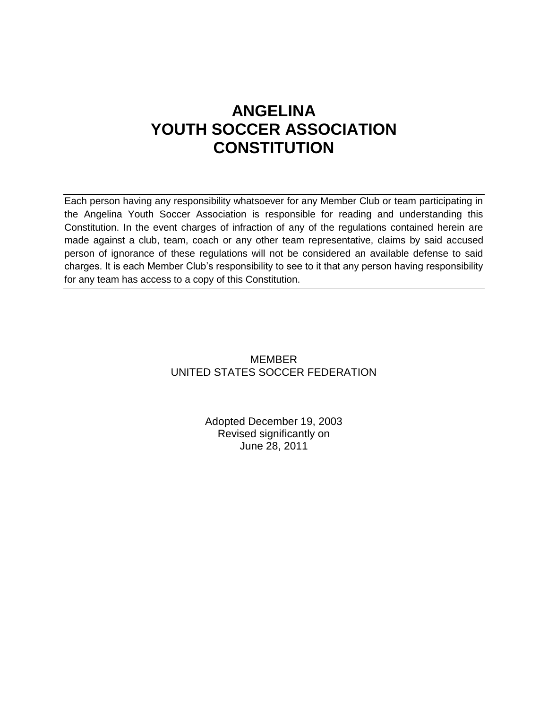# **ANGELINA YOUTH SOCCER ASSOCIATION CONSTITUTION**

Each person having any responsibility whatsoever for any Member Club or team participating in the Angelina Youth Soccer Association is responsible for reading and understanding this Constitution. In the event charges of infraction of any of the regulations contained herein are made against a club, team, coach or any other team representative, claims by said accused person of ignorance of these regulations will not be considered an available defense to said charges. It is each Member Club's responsibility to see to it that any person having responsibility for any team has access to a copy of this Constitution.

### MEMBER UNITED STATES SOCCER FEDERATION

Adopted December 19, 2003 Revised significantly on June 28, 2011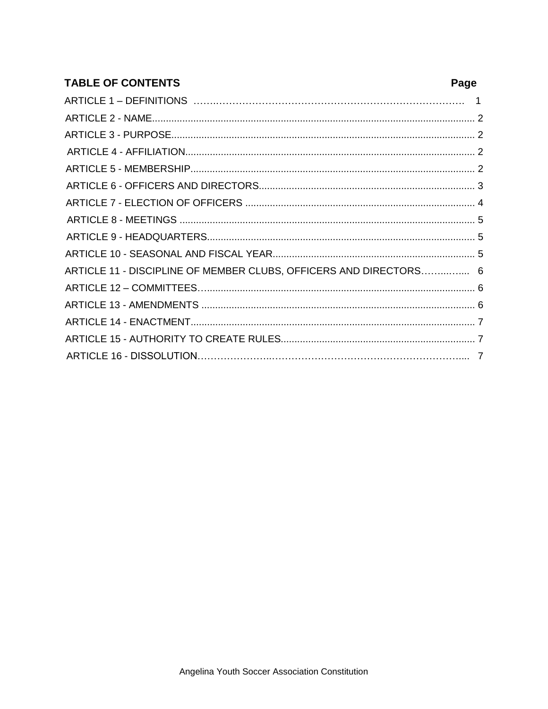## **TABLE OF CONTENTS**

## Page

| ARTICLE 11 - DISCIPLINE OF MEMBER CLUBS, OFFICERS AND DIRECTORS 6 |  |
|-------------------------------------------------------------------|--|
|                                                                   |  |
|                                                                   |  |
|                                                                   |  |
|                                                                   |  |
|                                                                   |  |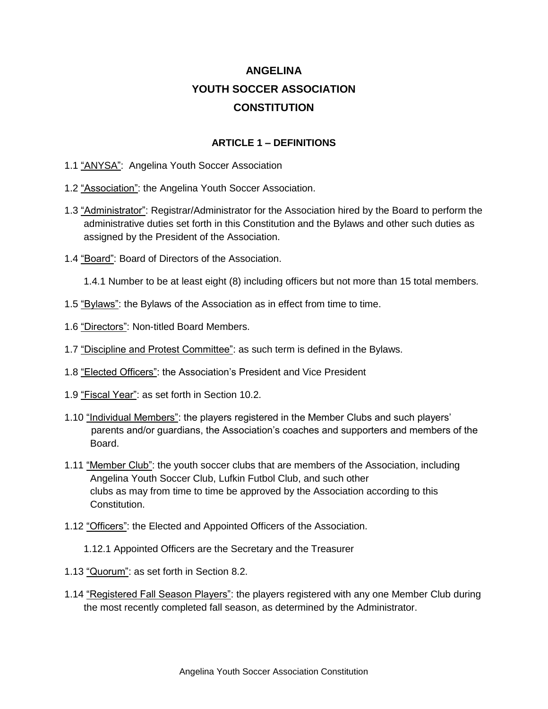## **ANGELINA YOUTH SOCCER ASSOCIATION CONSTITUTION**

#### **ARTICLE 1 – DEFINITIONS**

- 1.1 "ANYSA": Angelina Youth Soccer Association
- 1.2 "Association": the Angelina Youth Soccer Association.
- 1.3 "Administrator": Registrar/Administrator for the Association hired by the Board to perform the administrative duties set forth in this Constitution and the Bylaws and other such duties as assigned by the President of the Association.
- 1.4 "Board": Board of Directors of the Association.
	- 1.4.1 Number to be at least eight (8) including officers but not more than 15 total members.
- 1.5 "Bylaws": the Bylaws of the Association as in effect from time to time.
- 1.6 "Directors": Non-titled Board Members.
- 1.7 "Discipline and Protest Committee": as such term is defined in the Bylaws.
- 1.8 "Elected Officers": the Association's President and Vice President
- 1.9 "Fiscal Year": as set forth in Section 10.2.
- 1.10 "Individual Members": the players registered in the Member Clubs and such players' parents and/or guardians, the Association's coaches and supporters and members of the Board.
- 1.11 "Member Club": the youth soccer clubs that are members of the Association, including Angelina Youth Soccer Club, Lufkin Futbol Club, and such other clubs as may from time to time be approved by the Association according to this Constitution.
- 1.12 "Officers": the Elected and Appointed Officers of the Association.
	- 1.12.1 Appointed Officers are the Secretary and the Treasurer
- 1.13 "Quorum": as set forth in Section 8.2.
- 1.14 "Registered Fall Season Players": the players registered with any one Member Club during the most recently completed fall season, as determined by the Administrator.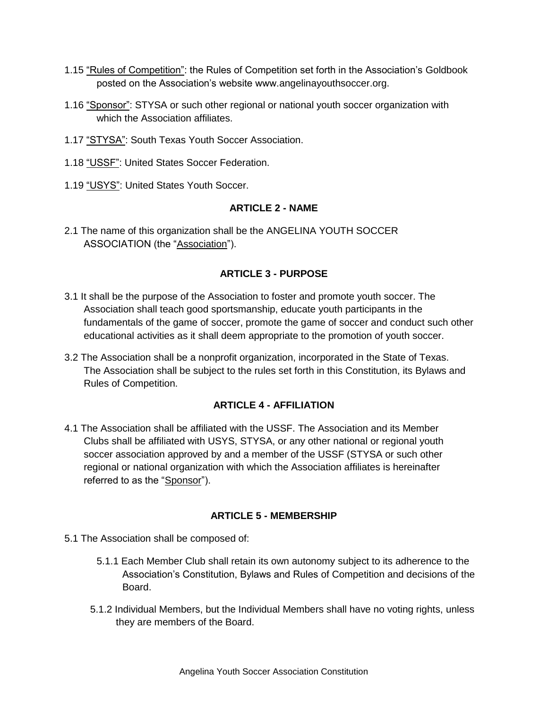- 1.15 "Rules of Competition": the Rules of Competition set forth in the Association's Goldbook posted on the Association's website www.angelinayouthsoccer.org.
- 1.16 "Sponsor": STYSA or such other regional or national youth soccer organization with which the Association affiliates.
- 1.17 "STYSA": South Texas Youth Soccer Association.
- 1.18 "USSF": United States Soccer Federation.
- 1.19 "USYS": United States Youth Soccer.

#### **ARTICLE 2 - NAME**

2.1 The name of this organization shall be the ANGELINA YOUTH SOCCER ASSOCIATION (the "Association").

#### **ARTICLE 3 - PURPOSE**

- 3.1 It shall be the purpose of the Association to foster and promote youth soccer. The Association shall teach good sportsmanship, educate youth participants in the fundamentals of the game of soccer, promote the game of soccer and conduct such other educational activities as it shall deem appropriate to the promotion of youth soccer.
- 3.2 The Association shall be a nonprofit organization, incorporated in the State of Texas. The Association shall be subject to the rules set forth in this Constitution, its Bylaws and Rules of Competition.

#### **ARTICLE 4 - AFFILIATION**

4.1 The Association shall be affiliated with the USSF. The Association and its Member Clubs shall be affiliated with USYS, STYSA, or any other national or regional youth soccer association approved by and a member of the USSF (STYSA or such other regional or national organization with which the Association affiliates is hereinafter referred to as the "Sponsor").

#### **ARTICLE 5 - MEMBERSHIP**

- 5.1 The Association shall be composed of:
	- 5.1.1 Each Member Club shall retain its own autonomy subject to its adherence to the Association's Constitution, Bylaws and Rules of Competition and decisions of the Board.
	- 5.1.2 Individual Members, but the Individual Members shall have no voting rights, unless they are members of the Board.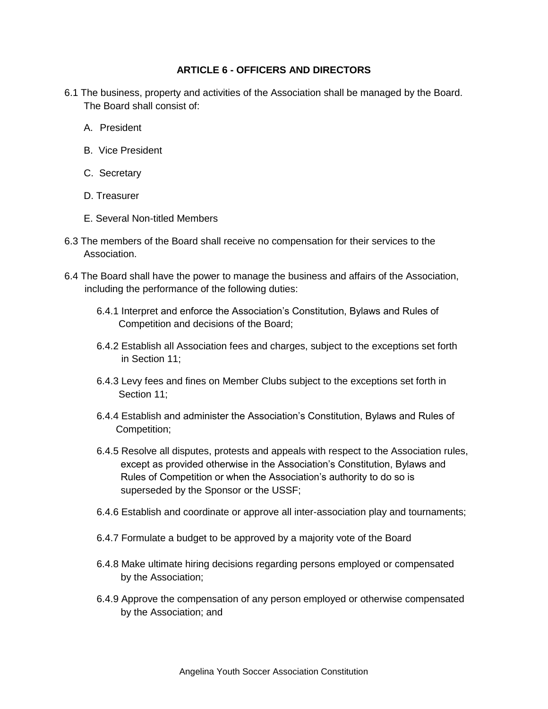#### **ARTICLE 6 - OFFICERS AND DIRECTORS**

- 6.1 The business, property and activities of the Association shall be managed by the Board. The Board shall consist of:
	- A. President
	- B. Vice President
	- C. Secretary
	- D. Treasurer
	- E. Several Non-titled Members
- 6.3 The members of the Board shall receive no compensation for their services to the Association.
- 6.4 The Board shall have the power to manage the business and affairs of the Association, including the performance of the following duties:
	- 6.4.1 Interpret and enforce the Association's Constitution, Bylaws and Rules of Competition and decisions of the Board;
	- 6.4.2 Establish all Association fees and charges, subject to the exceptions set forth in Section 11;
	- 6.4.3 Levy fees and fines on Member Clubs subject to the exceptions set forth in Section 11;
	- 6.4.4 Establish and administer the Association's Constitution, Bylaws and Rules of Competition;
	- 6.4.5 Resolve all disputes, protests and appeals with respect to the Association rules, except as provided otherwise in the Association's Constitution, Bylaws and Rules of Competition or when the Association's authority to do so is superseded by the Sponsor or the USSF;
	- 6.4.6 Establish and coordinate or approve all inter-association play and tournaments;
	- 6.4.7 Formulate a budget to be approved by a majority vote of the Board
	- 6.4.8 Make ultimate hiring decisions regarding persons employed or compensated by the Association;
	- 6.4.9 Approve the compensation of any person employed or otherwise compensated by the Association; and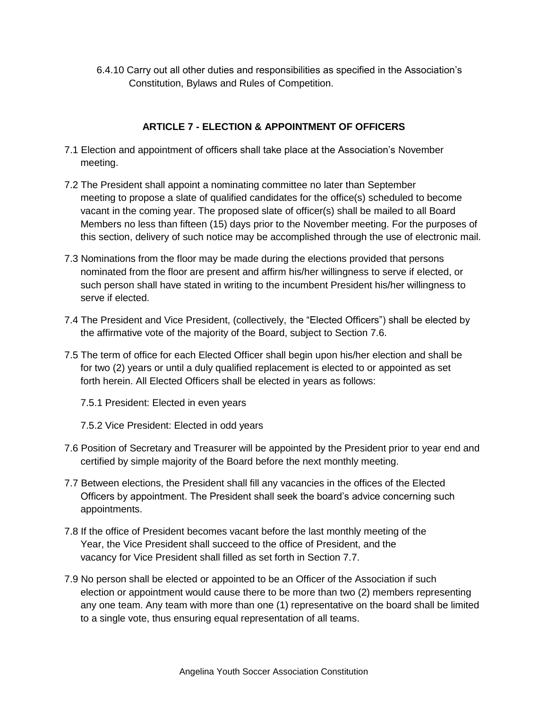6.4.10 Carry out all other duties and responsibilities as specified in the Association's Constitution, Bylaws and Rules of Competition.

#### **ARTICLE 7 - ELECTION & APPOINTMENT OF OFFICERS**

- 7.1 Election and appointment of officers shall take place at the Association's November meeting.
- 7.2 The President shall appoint a nominating committee no later than September meeting to propose a slate of qualified candidates for the office(s) scheduled to become vacant in the coming year. The proposed slate of officer(s) shall be mailed to all Board Members no less than fifteen (15) days prior to the November meeting. For the purposes of this section, delivery of such notice may be accomplished through the use of electronic mail.
- 7.3 Nominations from the floor may be made during the elections provided that persons nominated from the floor are present and affirm his/her willingness to serve if elected, or such person shall have stated in writing to the incumbent President his/her willingness to serve if elected.
- 7.4 The President and Vice President, (collectively, the "Elected Officers") shall be elected by the affirmative vote of the majority of the Board, subject to Section 7.6.
- 7.5 The term of office for each Elected Officer shall begin upon his/her election and shall be for two (2) years or until a duly qualified replacement is elected to or appointed as set forth herein. All Elected Officers shall be elected in years as follows:
	- 7.5.1 President: Elected in even years
	- 7.5.2 Vice President: Elected in odd years
- 7.6 Position of Secretary and Treasurer will be appointed by the President prior to year end and certified by simple majority of the Board before the next monthly meeting.
- 7.7 Between elections, the President shall fill any vacancies in the offices of the Elected Officers by appointment. The President shall seek the board's advice concerning such appointments.
- 7.8 If the office of President becomes vacant before the last monthly meeting of the Year, the Vice President shall succeed to the office of President, and the vacancy for Vice President shall filled as set forth in Section 7.7.
- 7.9 No person shall be elected or appointed to be an Officer of the Association if such election or appointment would cause there to be more than two (2) members representing any one team. Any team with more than one (1) representative on the board shall be limited to a single vote, thus ensuring equal representation of all teams.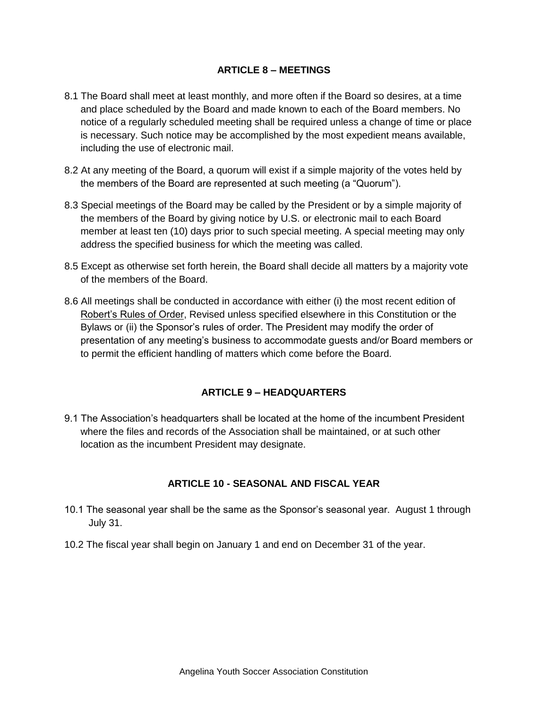#### **ARTICLE 8 – MEETINGS**

- 8.1 The Board shall meet at least monthly, and more often if the Board so desires, at a time and place scheduled by the Board and made known to each of the Board members. No notice of a regularly scheduled meeting shall be required unless a change of time or place is necessary. Such notice may be accomplished by the most expedient means available, including the use of electronic mail.
- 8.2 At any meeting of the Board, a quorum will exist if a simple majority of the votes held by the members of the Board are represented at such meeting (a "Quorum").
- 8.3 Special meetings of the Board may be called by the President or by a simple majority of the members of the Board by giving notice by U.S. or electronic mail to each Board member at least ten (10) days prior to such special meeting. A special meeting may only address the specified business for which the meeting was called.
- 8.5 Except as otherwise set forth herein, the Board shall decide all matters by a majority vote of the members of the Board.
- 8.6 All meetings shall be conducted in accordance with either (i) the most recent edition of Robert's Rules of Order, Revised unless specified elsewhere in this Constitution or the Bylaws or (ii) the Sponsor's rules of order. The President may modify the order of presentation of any meeting's business to accommodate guests and/or Board members or to permit the efficient handling of matters which come before the Board.

#### **ARTICLE 9 – HEADQUARTERS**

9.1 The Association's headquarters shall be located at the home of the incumbent President where the files and records of the Association shall be maintained, or at such other location as the incumbent President may designate.

#### **ARTICLE 10 - SEASONAL AND FISCAL YEAR**

- 10.1 The seasonal year shall be the same as the Sponsor's seasonal year. August 1 through July 31.
- 10.2 The fiscal year shall begin on January 1 and end on December 31 of the year.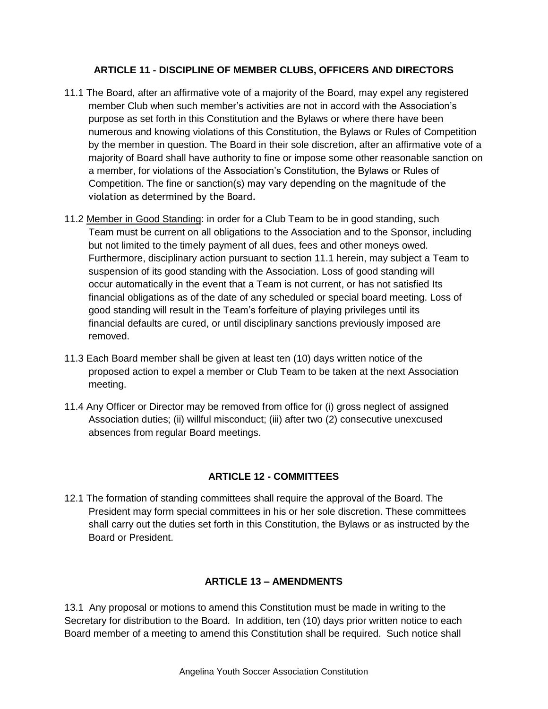#### **ARTICLE 11 - DISCIPLINE OF MEMBER CLUBS, OFFICERS AND DIRECTORS**

- 11.1 The Board, after an affirmative vote of a majority of the Board, may expel any registered member Club when such member's activities are not in accord with the Association's purpose as set forth in this Constitution and the Bylaws or where there have been numerous and knowing violations of this Constitution, the Bylaws or Rules of Competition by the member in question. The Board in their sole discretion, after an affirmative vote of a majority of Board shall have authority to fine or impose some other reasonable sanction on a member, for violations of the Association's Constitution, the Bylaws or Rules of Competition. The fine or sanction(s) may vary depending on the magnitude of the violation as determined by the Board.
- 11.2 Member in Good Standing: in order for a Club Team to be in good standing, such Team must be current on all obligations to the Association and to the Sponsor, including but not limited to the timely payment of all dues, fees and other moneys owed. Furthermore, disciplinary action pursuant to section 11.1 herein, may subject a Team to suspension of its good standing with the Association. Loss of good standing will occur automatically in the event that a Team is not current, or has not satisfied Its financial obligations as of the date of any scheduled or special board meeting. Loss of good standing will result in the Team's forfeiture of playing privileges until its financial defaults are cured, or until disciplinary sanctions previously imposed are removed.
- 11.3 Each Board member shall be given at least ten (10) days written notice of the proposed action to expel a member or Club Team to be taken at the next Association meeting.
- 11.4 Any Officer or Director may be removed from office for (i) gross neglect of assigned Association duties; (ii) willful misconduct; (iii) after two (2) consecutive unexcused absences from regular Board meetings.

#### **ARTICLE 12 - COMMITTEES**

12.1 The formation of standing committees shall require the approval of the Board. The President may form special committees in his or her sole discretion. These committees shall carry out the duties set forth in this Constitution, the Bylaws or as instructed by the Board or President.

#### **ARTICLE 13 – AMENDMENTS**

13.1 Any proposal or motions to amend this Constitution must be made in writing to the Secretary for distribution to the Board. In addition, ten (10) days prior written notice to each Board member of a meeting to amend this Constitution shall be required. Such notice shall